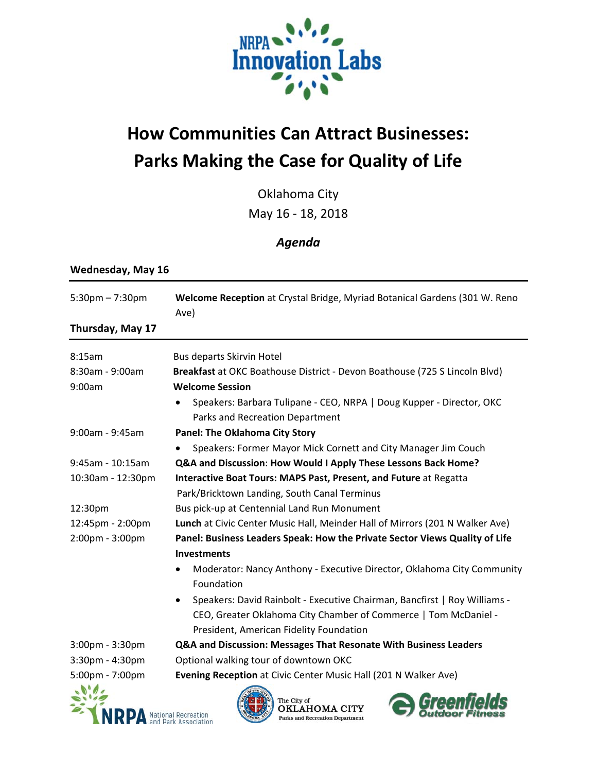

## **How Communities Can Attract Businesses: Parks Making the Case for Quality of Life**

Oklahoma City May 16 ‐ 18, 2018

## *Agenda*

## Wednesday, May 16

| $5:30$ pm $-7:30$ pm | Welcome Reception at Crystal Bridge, Myriad Botanical Gardens (301 W. Reno<br>Ave)                    |
|----------------------|-------------------------------------------------------------------------------------------------------|
| Thursday, May 17     |                                                                                                       |
| 8:15am               | Bus departs Skirvin Hotel                                                                             |
| 8:30am - 9:00am      | Breakfast at OKC Boathouse District - Devon Boathouse (725 S Lincoln Blvd)                            |
| 9:00am               | <b>Welcome Session</b>                                                                                |
|                      | Speakers: Barbara Tulipane - CEO, NRPA   Doug Kupper - Director, OKC                                  |
|                      | Parks and Recreation Department                                                                       |
| 9:00am - 9:45am      | <b>Panel: The Oklahoma City Story</b>                                                                 |
|                      | Speakers: Former Mayor Mick Cornett and City Manager Jim Couch                                        |
| $9:45$ am - 10:15am  | Q&A and Discussion: How Would I Apply These Lessons Back Home?                                        |
| 10:30am - 12:30pm    | Interactive Boat Tours: MAPS Past, Present, and Future at Regatta                                     |
|                      | Park/Bricktown Landing, South Canal Terminus                                                          |
| 12:30pm              | Bus pick-up at Centennial Land Run Monument                                                           |
| 12:45pm - 2:00pm     | Lunch at Civic Center Music Hall, Meinder Hall of Mirrors (201 N Walker Ave)                          |
| 2:00pm - 3:00pm      | Panel: Business Leaders Speak: How the Private Sector Views Quality of Life                           |
|                      | <b>Investments</b>                                                                                    |
|                      | Moderator: Nancy Anthony - Executive Director, Oklahoma City Community<br>Foundation                  |
|                      |                                                                                                       |
|                      | Speakers: David Rainbolt - Executive Chairman, Bancfirst   Roy Williams -<br>$\bullet$                |
|                      | CEO, Greater Oklahoma City Chamber of Commerce   Tom McDaniel -                                       |
|                      | President, American Fidelity Foundation                                                               |
| 3:00pm - 3:30pm      | Q&A and Discussion: Messages That Resonate With Business Leaders                                      |
| 3:30pm - 4:30pm      | Optional walking tour of downtown OKC                                                                 |
| 5:00pm - 7:00pm      | Evening Reception at Civic Center Music Hall (201 N Walker Ave)                                       |
|                      | The City of                                                                                           |
|                      | OKLAHOMA CITY<br>National Recreation<br>and Park Associatio<br><b>Parks and Recreation Department</b> |